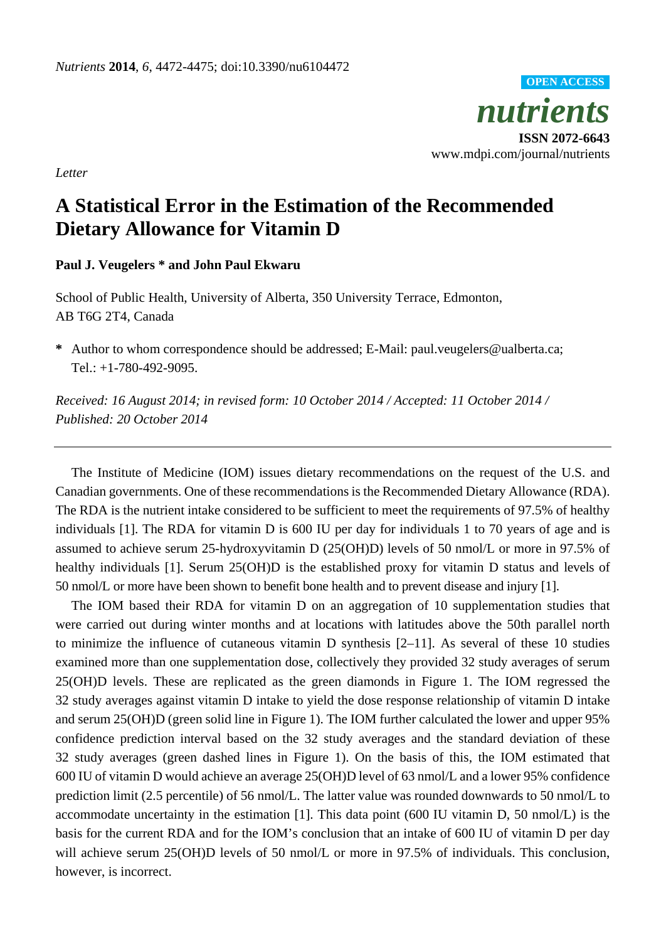

www.mdpi.com/journal/nutrients

*Letter*

## **A Statistical Error in the Estimation of the Recommended Dietary Allowance for Vitamin D**

## **Paul J. Veugelers \* and John Paul Ekwaru**

School of Public Health, University of Alberta, 350 University Terrace, Edmonton, AB T6G 2T4, Canada

**\*** Author to whom correspondence should be addressed; E-Mail: paul.veugelers@ualberta.ca; Tel.: +1-780-492-9095.

*Received: 16 August 2014; in revised form: 10 October 2014 / Accepted: 11 October 2014 / Published: 20 October 2014*

The Institute of Medicine (IOM) issues dietary recommendations on the request of the U.S. and Canadian governments. One of these recommendations is the Recommended Dietary Allowance (RDA). The RDA is the nutrient intake considered to be sufficient to meet the requirements of 97.5% of healthy individuals [1]. The RDA for vitamin D is 600 IU per day for individuals 1 to 70 years of age and is assumed to achieve serum 25-hydroxyvitamin D (25(OH)D) levels of 50 nmol/L or more in 97.5% of healthy individuals [1]. Serum 25(OH)D is the established proxy for vitamin D status and levels of 50 nmol/L or more have been shown to benefit bone health and to prevent disease and injury [1].

The IOM based their RDA for vitamin D on an aggregation of 10 supplementation studies that were carried out during winter months and at locations with latitudes above the 50th parallel north to minimize the influence of cutaneous vitamin D synthesis [2–11]. As several of these 10 studies examined more than one supplementation dose, collectively they provided 32 study averages of serum 25(OH)D levels. These are replicated as the green diamonds in Figure 1. The IOM regressed the 32 study averages against vitamin D intake to yield the dose response relationship of vitamin D intake and serum 25(OH)D (green solid line in Figure 1). The IOM further calculated the lower and upper 95% confidence prediction interval based on the 32 study averages and the standard deviation of these 32 study averages (green dashed lines in Figure 1). On the basis of this, the IOM estimated that 600 IU of vitamin D would achieve an average 25(OH)D level of 63 nmol/L and a lower 95% confidence prediction limit (2.5 percentile) of 56 nmol/L. The latter value was rounded downwards to 50 nmol/L to accommodate uncertainty in the estimation [1]. This data point (600 IU vitamin D, 50 nmol/L) is the basis for the current RDA and for the IOM's conclusion that an intake of 600 IU of vitamin D per day will achieve serum 25(OH)D levels of 50 nmol/L or more in 97.5% of individuals. This conclusion, however, is incorrect.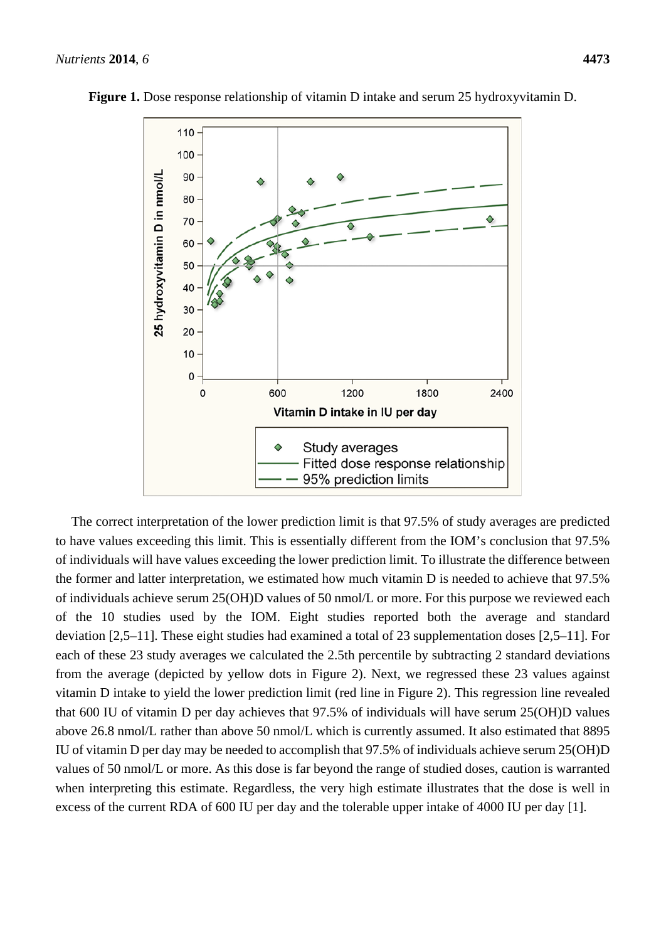

**Figure 1.** Dose response relationship of vitamin D intake and serum 25 hydroxyvitamin D.

The correct interpretation of the lower prediction limit is that 97.5% of study averages are predicted to have values exceeding this limit. This is essentially different from the IOM's conclusion that 97.5% of individuals will have values exceeding the lower prediction limit. To illustrate the difference between the former and latter interpretation, we estimated how much vitamin D is needed to achieve that 97.5% of individuals achieve serum 25(OH)D values of 50 nmol/L or more. For this purpose we reviewed each of the 10 studies used by the IOM. Eight studies reported both the average and standard deviation [2,5–11]. These eight studies had examined a total of 23 supplementation doses [2,5–11]. For each of these 23 study averages we calculated the 2.5th percentile by subtracting 2 standard deviations from the average (depicted by yellow dots in Figure 2). Next, we regressed these 23 values against vitamin D intake to yield the lower prediction limit (red line in Figure 2). This regression line revealed that 600 IU of vitamin D per day achieves that 97.5% of individuals will have serum 25(OH)D values above 26.8 nmol/L rather than above 50 nmol/L which is currently assumed. It also estimated that 8895 IU of vitamin D per day may be needed to accomplish that 97.5% of individuals achieve serum 25(OH)D values of 50 nmol/L or more. As this dose is far beyond the range of studied doses, caution is warranted when interpreting this estimate. Regardless, the very high estimate illustrates that the dose is well in excess of the current RDA of 600 IU per day and the tolerable upper intake of 4000 IU per day [1].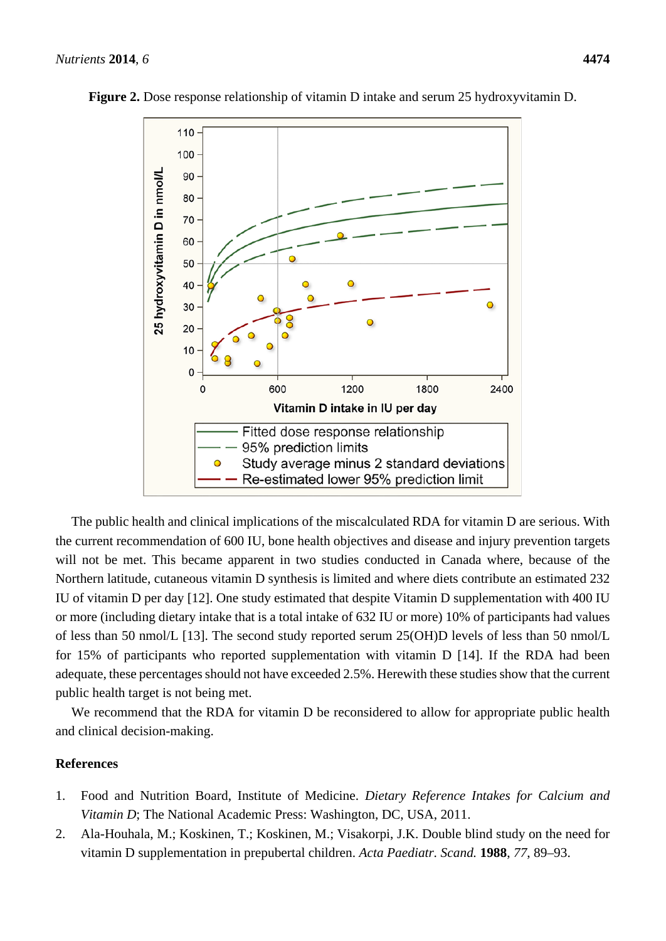

**Figure 2.** Dose response relationship of vitamin D intake and serum 25 hydroxyvitamin D.

The public health and clinical implications of the miscalculated RDA for vitamin D are serious. With the current recommendation of 600 IU, bone health objectives and disease and injury prevention targets will not be met. This became apparent in two studies conducted in Canada where, because of the Northern latitude, cutaneous vitamin D synthesis is limited and where diets contribute an estimated 232 IU of vitamin D per day [12]. One study estimated that despite Vitamin D supplementation with 400 IU or more (including dietary intake that is a total intake of 632 IU or more) 10% of participants had values of less than 50 nmol/L [13]. The second study reported serum 25(OH)D levels of less than 50 nmol/L for 15% of participants who reported supplementation with vitamin D [14]. If the RDA had been adequate, these percentages should not have exceeded 2.5%. Herewith these studies show that the current public health target is not being met.

We recommend that the RDA for vitamin D be reconsidered to allow for appropriate public health and clinical decision-making.

## **References**

- 1. Food and Nutrition Board, Institute of Medicine. *Dietary Reference Intakes for Calcium and Vitamin D*; The National Academic Press: Washington, DC, USA, 2011.
- 2. Ala-Houhala, M.; Koskinen, T.; Koskinen, M.; Visakorpi, J.K. Double blind study on the need for vitamin D supplementation in prepubertal children. *Acta Paediatr. Scand.* **1988**, *77*, 89–93.